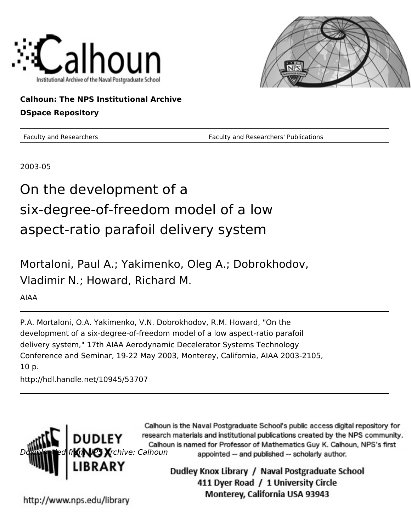



**Calhoun: The NPS Institutional Archive DSpace Repository**

Faculty and Researchers Faculty and Researchers' Publications

2003-05

# On the development of a six-degree-of-freedom model of a low aspect-ratio parafoil delivery system

Mortaloni, Paul A.; Yakimenko, Oleg A.; Dobrokhodov, Vladimir N.; Howard, Richard M.

AIAA

P.A. Mortaloni, O.A. Yakimenko, V.N. Dobrokhodov, R.M. Howard, "On the development of a six-degree-of-freedom model of a low aspect-ratio parafoil delivery system," 17th AIAA Aerodynamic Decelerator Systems Technology Conference and Seminar, 19-22 May 2003, Monterey, California, AIAA 2003-2105, 10 p.

http://hdl.handle.net/10945/53707



Calhoun is the Naval Postgraduate School's public access digital repository for research materials and institutional publications created by the NPS community. Calhoun is named for Professor of Mathematics Guy K. Calhoun, NPS's first appointed -- and published -- scholarly author.

> Dudley Knox Library / Naval Postgraduate School 411 Dyer Road / 1 University Circle Monterey, California USA 93943

http://www.nps.edu/library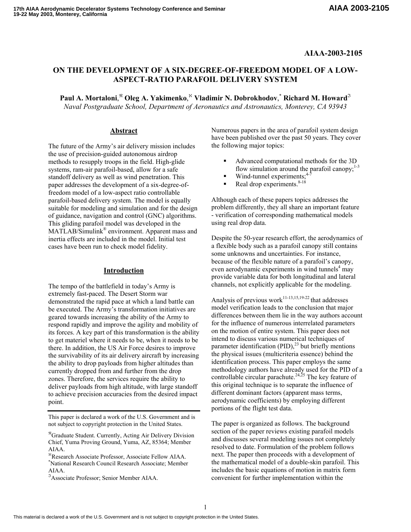### **AIAA-2003-2105**

## **ON THE DEVELOPMENT OF A SIX-DEGREE-OF-FREEDOM MODEL OF A LOW-ASPECT-RATIO PARAFOIL DELIVERY SYSTEM**

**Paul A. Mortaloni**, <sup>ℜ</sup> **Oleg A. Yakimenko**, <sup>ℵ</sup> **Vladimir N. Dobrokhodov**, \* **Richard M. Howard**<sup>ℑ</sup> *Naval Postgraduate School, Department of Aeronautics and Astronautics, Monterey, CA 93943* 

The future of the Army's air delivery mission includes the following major topics: the use of precision-guided autonomous airdrop methods to resupply troops in the field. High-glide systems, ram-air parafoil-based, allow for a safe standoff delivery as well as wind penetration. This paper addresses the development of a six-degree-offreedom model of a low-aspect ratio controllable parafoil-based delivery system. The model is equally suitable for modeling and simulation and for the design of guidance, navigation and control (GNC) algorithms. This gliding parafoil model was developed in the MATLAB/Simulink® environment. Apparent mass and inertia effects are included in the model. Initial test cases have been run to check model fidelity.

#### **Introduction**

The tempo of the battlefield in today's Army is extremely fast-paced. The Desert Storm war demonstrated the rapid pace at which a land battle can be executed. The Army's transformation initiatives are geared towards increasing the ability of the Army to respond rapidly and improve the agility and mobility of its forces. A key part of this transformation is the ability to get materiel where it needs to be, when it needs to be there. In addition, the US Air Force desires to improve the survivability of its air delivery aircraft by increasing the ability to drop payloads from higher altitudes than currently dropped from and further from the drop zones. Therefore, the services require the ability to deliver payloads from high altitude, with large standoff to achieve precision accuracies from the desired impact point.

This paper is declared a work of the U.S. Government and is not subject to copyright protection in the United States. The paper is organized as follows. The background

<sup>ℵ</sup>Research Associate Professor, Associate Fellow AIAA. \* National Research Council Research Associate; Member AIAA.

<sup>ℑ</sup>Associate Professor; Senior Member AIAA.

Abstract Numerous papers in the area of parafoil system design have been published over the past 50 years. They cover

- Advanced computational methods for the 3D flow simulation around the parafoil canopy; $1-3$
- $\blacksquare$  Wind-tunnel experiments;<sup>4-7</sup>
- Real drop experiments.<sup>8-18</sup>

Although each of these papers topics addresses the problem differently, they all share an important feature - verification of corresponding mathematical models using real drop data.

Despite the 50-year research effort, the aerodynamics of a flexible body such as a parafoil canopy still contains some unknowns and uncertainties. For instance, because of the flexible nature of a parafoil's canopy, even aerodynamic experiments in wind tunnels<sup>4</sup> may provide variable data for both longitudinal and lateral channels, not explicitly applicable for the modeling.

Analysis of previous work<sup>11-13,15,19-22</sup> that addresses model verification leads to the conclusion that major differences between them lie in the way authors account for the influence of numerous interrelated parameters on the motion of entire system. This paper does not intend to discuss various numerical techniques of parameter identification  $(PID)$ ,<sup>23</sup> but briefly mentions the physical issues (multicriteria essence) behind the identification process. This paper employs the same methodology authors have already used for the PID of a controllable circular parachute.<sup>24,25</sup> The key feature of this original technique is to separate the influence of different dominant factors (apparent mass terms, aerodynamic coefficients) by employing different portions of the flight test data.

section of the paper reviews existing parafoil models and discusses several modeling issues not completely resolved to date. Formulation of the problem follows next. The paper then proceeds with a development of the mathematical model of a double-skin parafoil. This includes the basic equations of motion in matrix form convenient for further implementation within the

<sup>ℜ</sup>Graduate Student. Currently, Acting Air Delivery Division Chief, Yuma Proving Ground, Yuma, AZ, 85364; Member AIAA.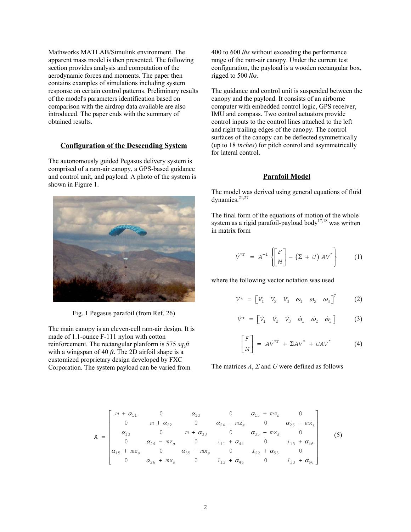Mathworks MATLAB/Simulink environment. The apparent mass model is then presented. The following section provides analysis and computation of the aerodynamic forces and moments. The paper then contains examples of simulations including system response on certain control patterns. Preliminary results of the model's parameters identification based on comparison with the airdrop data available are also introduced. The paper ends with the summary of obtained results.

#### **Configuration of the Descending System**

The autonomously guided Pegasus delivery system is comprised of a ram-air canopy, a GPS-based guidance and control unit, and payload. A photo of the system is shown in Figure 1.



Fig. 1 Pegasus parafoil (from Ref. 26)

The main canopy is an eleven-cell ram-air design. It is made of 1.1-ounce F-111 nylon with cotton reinforcement. The rectangular planform is 575 *sq.ft* with a wingspan of 40  $ft$ . The 2D airfoil shape is a customized proprietary design developed by FXC Corporation. The system payload can be varied from

400 to 600 *lbs* without exceeding the performance range of the ram-air canopy. Under the current test configuration, the payload is a wooden rectangular box, rigged to 500 *lbs*.

The guidance and control unit is suspended between the canopy and the payload. It consists of an airborne computer with embedded control logic, GPS receiver, IMU and compass. Two control actuators provide control inputs to the control lines attached to the left and right trailing edges of the canopy. The control surfaces of the canopy can be deflected symmetrically (up to 18 *inches*) for pitch control and asymmetrically for lateral control.

#### **Parafoil Model**

The model was derived using general equations of fluid dynamics.<sup>21,27</sup>

The final form of the equations of motion of the whole system as a rigid parafoil-payload body<sup>17,18</sup> was written in matrix form

$$
\dot{V}^{*T} = A^{-1} \left\{ \begin{bmatrix} F \\ M \end{bmatrix} - \left( \Sigma + U \right) A V^{*} \right\}
$$
 (1)

where the following vector notation was used

$$
V^* = \begin{bmatrix} V_1 & V_2 & V_3 & \omega_1 & \omega_2 & \omega_3 \end{bmatrix}^T \qquad (2)
$$

$$
\dot{V}^{\star} = \begin{bmatrix} \dot{V}_1 & \dot{V}_2 & \dot{V}_3 & \dot{\omega}_1 & \dot{\omega}_2 & \dot{\omega}_3 \end{bmatrix}
$$
 (3)

$$
\begin{bmatrix} F \\ M \end{bmatrix} = A\dot{V}^{*T} + \Sigma A V^{*} + U A V^{*} \qquad (4)
$$

The matrices *A*, *Σ* and *U* were defined as follows

$$
A = \begin{bmatrix} m + \alpha_{11} & 0 & \alpha_{13} & 0 & \alpha_{15} + m z_s & 0 \\ 0 & m + \alpha_{22} & 0 & \alpha_{24} - m z_s & 0 & \alpha_{26} + m x_s \\ \alpha_{13} & 0 & m + \alpha_{33} & 0 & \alpha_{35} - m x_s & 0 \\ 0 & \alpha_{24} - m z_s & 0 & I_{11} + \alpha_{44} & 0 & I_{13} + \alpha_{46} \\ \alpha_{15} + m z_s & 0 & \alpha_{35} - m x_s & 0 & I_{22} + \alpha_{55} & 0 \\ 0 & \alpha_{26} + m x_s & 0 & I_{13} + \alpha_{46} & 0 & I_{33} + \alpha_{66} \end{bmatrix}
$$
(5)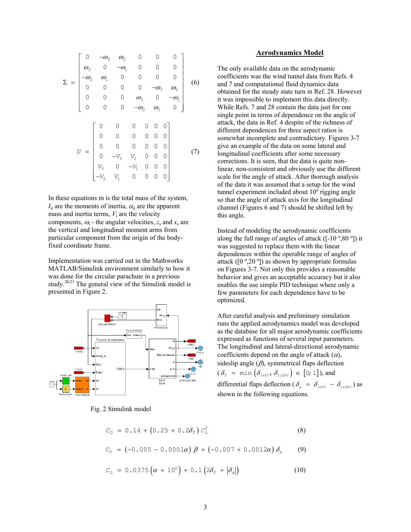$$
\Sigma = \begin{bmatrix}\n0 & -\omega_3 & \omega_2 & 0 & 0 & 0 \\
\omega_3 & 0 & -\omega_1 & 0 & 0 & 0 \\
-\omega_2 & \omega_1 & 0 & 0 & 0 & 0 \\
0 & 0 & 0 & 0 & -\omega_3 & \omega_2 \\
0 & 0 & 0 & \omega_3 & 0 & -\omega_1 \\
0 & 0 & 0 & -\omega_2 & \omega_1 & 0\n\end{bmatrix}
$$
\n(6)  
\n
$$
U = \begin{bmatrix}\n0 & 0 & 0 & 0 & 0 & 0 \\
0 & 0 & 0 & 0 & 0 & 0 \\
0 & 0 & 0 & 0 & 0 & 0 \\
0 & -V_3 & V_2 & 0 & 0 & 0 \\
0 & -V_3 & V_2 & 0 & 0 & 0 \\
V_3 & 0 & -V_1 & 0 & 0 & 0\n\end{bmatrix}
$$
\n(7)

In these equations m is the total mass of the system,  $I_{ii}$  are the moments of inertia,  $\alpha_{ii}$  are the apparent mass and inertia terms,  $V_i$  are the velocity components,  $\omega_i$  - the angular velocities,  $z_s$  and  $x_s$  are the vertical and longitudinal moment arms from particular component from the origin of the bodyfixed coordinate frame.

Implementation was carried out in the Mathworks MATLAB/Simulink environment similarly to how it was done for the circular parachute in a previous study. $20,21$  The general view of the Simulink model is presented in Figure 2.



Fig. 2 Simulink model

#### **Aerodynamics Model**

The only available data on the aerodynamic coefficients was the wind tunnel data from Refs. 4 and 7 and computational fluid dynamics data obtained for the steady state turn in Ref. 28. However it was impossible to implement this data directly. While Refs. 7 and 28 contain the data just for one single point in terms of dependence on the angle of attack, the data in Ref. 4 despite of the richness of different dependences for three aspect ratios is somewhat incomplete and contradictory. Figures 3-7 give an example of the data on some lateral and longitudinal coefficients after some necessary corrections. It is seen, that the data is quite nonlinear, non-consistent and obviously use the different scale for the angle of attack. After thorough analysis of the data it was assumed that a setup for the wind tunnel experiment included about 10º rigging angle so that the angle of attack axis for the longitudinal channel (Figures 6 and 7) should be shifted left by this angle.

Instead of modeling the aerodynamic coefficients along the full range of angles of attack  $([-10\degree, 80\degree])$  it was suggested to replace them with the linear dependences within the operable range of angles of attack ( $[0^{\circ}, 20^{\circ}]$ ) as shown by appropriate formulas on Figures 3-7. Not only this provides a reasonable behavior and gives an acceptable accuracy but it also enables the use simple PID technique where only a few parameters for each dependence have to be optimized.

After careful analysis and preliminary simulation runs the applied aerodynamics model was developed as the database for all major aerodynamic coefficients expressed as functions of several input parameters. The longitudinal and lateral-directional aerodynamic coefficients depend on the angle of attack  $(\alpha)$ , sideslip angle  $(\beta)$ , symmetrical flaps deflection  $(\delta_{\text{f}} = \min (\delta_{\text{left}}, \delta_{\text{right}}) \in [0;1]),$  and

differential flaps deflection ( $\delta_a = \delta_{left} - \delta_{right}$ ) as shown in the following equations.

$$
C_D = 0.14 + (0.25 + 0.2\delta_f) C_L^2 \tag{8}
$$

$$
C_Y = (-0.005 - 0.0001\alpha) \beta + (-0.007 + 0.0012\alpha) \delta_a \qquad (9)
$$

$$
C_L = 0.0375 \left( \alpha + 10^{\circ} \right) + 0.1 \left( 2 \delta_f + \left| \delta_a \right| \right) \tag{10}
$$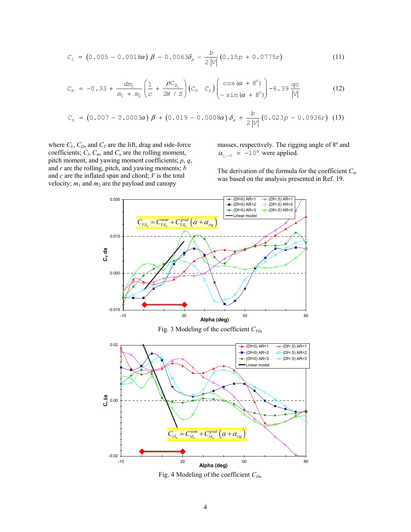$$
C_1 = (0.005 - 0.0018\alpha) \beta - 0.0063\delta_a - \frac{b}{2|V|} (0.15p + 0.0775r)
$$
 (11)

$$
C_m = -0.33 + \frac{dm_1}{m_1 + m_2} \left( \frac{1}{c} + \frac{\rho C_{B_o}}{2W / S} \right) \left( C_D \quad C_L \right) \left( \frac{\cos (\alpha + 8^\circ)}{-\sin (\alpha + 8^\circ)} \right) - 6.39 \frac{\text{qc}}{|\text{v}|} \tag{12}
$$

$$
C_n = (0.007 - 0.0003\alpha) \beta + (0.019 - 0.0008\alpha) \delta_a + \frac{b}{2|V|} (0.023p - 0.0936r) \quad (13)
$$

where  $C_L$ ,  $C_D$ , and  $C_Y$  are the lift, drag and side-force coefficients;  $C_l$ ,  $C_m$ , and  $C_n$  are the rolling moment, pitch moment, and yawing moment coefficients; *p*, *q*, and *r* are the rolling, pitch, and yawing moments; *b*  and *c* are the inflated span and chord; *V* is the total velocity;  $m_1$  and  $m_2$  are the payload and canopy

masses, respectively. The rigging angle of 8º and  $\alpha_{c_{r}} = -10^{\circ}$  were applied.

The derivation of the formula for the coefficient *Cm* was based on the analysis presented in Ref. 19.



Fig. 4 Modeling of the coefficient *Clδ<sup>a</sup>*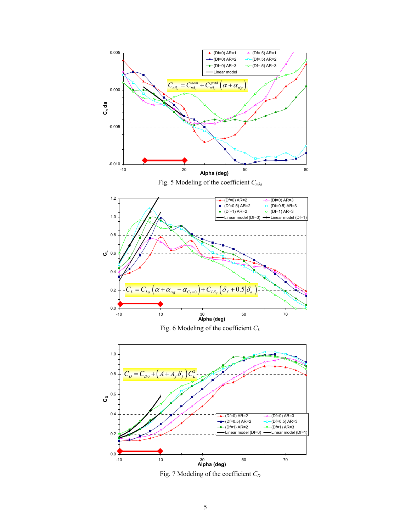

Fig. 7 Modeling of the coefficient  $C_D$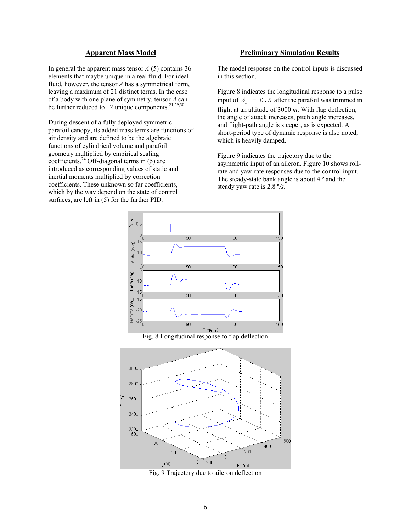#### **Apparent Mass Model**

In general the apparent mass tensor *A* (5) contains 36 elements that maybe unique in a real fluid. For ideal fluid, however, the tensor *A* has a symmetrical form, leaving a maximum of 21 distinct terms. In the case of a body with one plane of symmetry, tensor *A* can be further reduced to 12 unique components. $21,29,30$ 

During descent of a fully deployed symmetric parafoil canopy, its added mass terms are functions of air density and are defined to be the algebraic functions of cylindrical volume and parafoil geometry multiplied by empirical scaling coefficients.<sup>24</sup> Off-diagonal terms in  $(5)$  are introduced as corresponding values of static and inertial moments multiplied by correction coefficients. These unknown so far coefficients, which by the way depend on the state of control surfaces, are left in (5) for the further PID.

#### **Preliminary Simulation Results**

The model response on the control inputs is discussed in this section.

Figure 8 indicates the longitudinal response to a pulse input of  $\delta_{\epsilon} = 0.5$  after the parafoil was trimmed in flight at an altitude of 3000 *m*. With flap deflection, the angle of attack increases, pitch angle increases, and flight-path angle is steeper, as is expected. A short-period type of dynamic response is also noted, which is heavily damped.

Figure 9 indicates the trajectory due to the asymmetric input of an aileron. Figure 10 shows rollrate and yaw-rate responses due to the control input. The steady-state bank angle is about 4 º and the steady yaw rate is 2.8 º*/s*.



Fig. 8 Longitudinal response to flap deflection



Fig. 9 Trajectory due to aileron deflection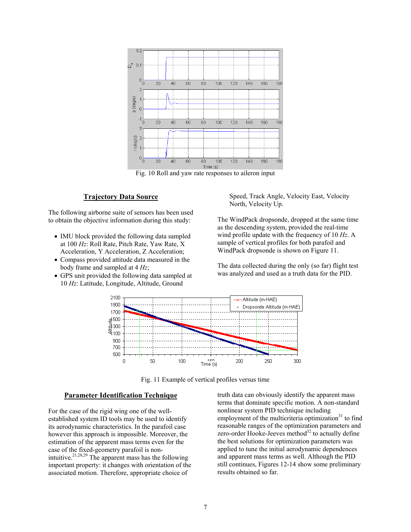

Fig. 10 Roll and yaw rate responses to aileron input

#### **Trajectory Data Source**

The following airborne suite of sensors has been used to obtain the objective information during this study:

- IMU block provided the following data sampled at 100 *Hz*: Roll Rate, Pitch Rate, Yaw Rate, X Acceleration, Y Acceleration, Z Acceleration;
- Compass provided attitude data measured in the body frame and sampled at 4 *Hz*;
- GPS unit provided the following data sampled at 10 *Hz*: Latitude, Longitude, Altitude, Ground

Speed, Track Angle, Velocity East, Velocity North, Velocity Up.

The WindPack dropsonde, dropped at the same time as the descending system, provided the real-time wind profile update with the frequency of 10 *Hz*. A sample of vertical profiles for both parafoil and WindPack dropsonde is shown on Figure 11.

The data collected during the only (so far) flight test was analyzed and used as a truth data for the PID.



Fig. 11 Example of vertical profiles versus time

#### **Parameter Identification Technique**

For the case of the rigid wing one of the wellestablished system ID tools may be used to identify its aerodynamic characteristics. In the parafoil case however this approach is impossible. Moreover, the estimation of the apparent mass terms even for the case of the fixed-geometry parafoil is nonintuitive.<sup>21,28,29</sup> The apparent mass has the following important property: it changes with orientation of the associated motion. Therefore, appropriate choice of

truth data can obviously identify the apparent mass terms that dominate specific motion. A non-standard nonlinear system PID technique including employment of the multicriteria optimization<sup>31</sup> to find reasonable ranges of the optimization parameters and zero-order Hooke-Jeeves method $32$  to actually define the best solutions for optimization parameters was applied to tune the initial aerodynamic dependences and apparent mass terms as well. Although the PID still continues, Figures 12-14 show some preliminary results obtained so far.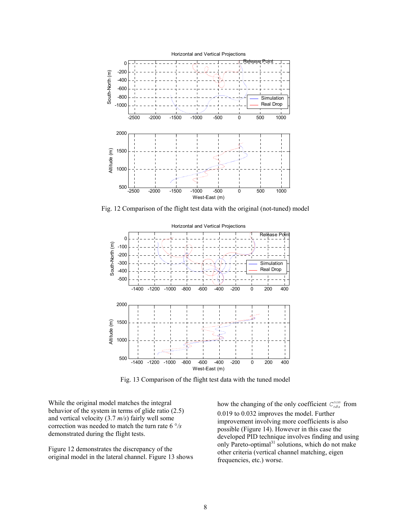

Fig. 12 Comparison of the flight test data with the original (not-tuned) model



Fig. 13 Comparison of the flight test data with the tuned model

While the original model matches the integral behavior of the system in terms of glide ratio (2.5) and vertical velocity (3.7 *m/s*) fairly well some correction was needed to match the turn rate 6 °*/s* demonstrated during the flight tests.

Figure 12 demonstrates the discrepancy of the original model in the lateral channel. Figure 13 shows

how the changing of the only coefficient  $C_{n\delta a}^{nom}$  from 0.019 to 0.032 improves the model. Further improvement involving more coefficients is also possible (Figure 14). However in this case the developed PID technique involves finding and using only Pareto-optimal $31$  solutions, which do not make other criteria (vertical channel matching, eigen frequencies, etc.) worse.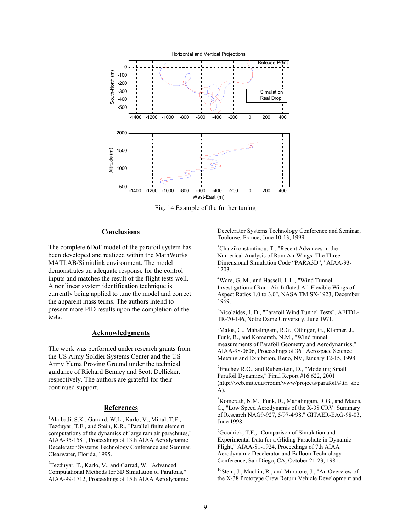

Fig. 14 Example of the further tuning

#### **Conclusions**

The complete 6DoF model of the parafoil system has been developed and realized within the MathWorks MATLAB/Simiulink environment. The model demonstrates an adequate response for the control inputs and matches the result of the flight tests well. A nonlinear system identification technique is currently being applied to tune the model and correct the apparent mass terms. The authors intend to present more PID results upon the completion of the tests.

#### **Acknowledgments**

The work was performed under research grants from the US Army Soldier Systems Center and the US Army Yuma Proving Ground under the technical guidance of Richard Benney and Scott Dellicker, respectively. The authors are grateful for their continued support.

#### **References**

<sup>1</sup>Alaibadi, S.K., Garrard, W.L., Karlo, V., Mittal, T.E., Tezduyar, T.E., and Stein, K.R., "Parallel finite element computations of the dynamics of large ram air parachutes," AIAA-95-1581, Proceedings of 13th AIAA Aerodynamic Decelerator Systems Technology Conference and Seminar, Clearwater, Florida, 1995.

<sup>2</sup>Tezduyar, T., Karlo, V., and Garrad, W. "Advanced Computational Methods for 3D Simulation of Parafoils," AIAA-99-1712, Proceedings of 15th AIAA Aerodynamic Decelerator Systems Technology Conference and Seminar, Toulouse, France, June 10-13, 1999.

3 Chatzikonstantinou, T., "Recent Advances in the Numerical Analysis of Ram Air Wings. The Three Dimensional Simulation Code "PARA3D"," AIAA-93- 1203.

<sup>4</sup>Ware, G. M., and Hassell, J. L., "Wind Tunnel Investigation of Ram-Air-Inflated All-Flexible Wings of Aspect Ratios 1.0 to 3.0", NASA TM SX-1923, December 1969.

5 Nicolaides, J. D., "Parafoil Wind Tunnel Tests", AFFDL-TR-70-146, Notre Dame University, June 1971.

6 Matos, C., Mahalingam, R.G., Ottinger, G., Klapper, J., Funk, R., and Komerath, N.M., "Wind tunnel measurements of Parafoil Geometry and Aerodynamics," AIAA-98-0606, Proceedings of  $36<sup>th</sup>$  Aerospace Science Meeting and Exhibition, Reno, NV, January 12-15, 1998.

<sup>7</sup>Entchev R.O., and Rubenstein, D., "Modeling Small Parafoil Dynamics," Final Report #16.622, 2001 (http://web.mit.edu/rrodin/www/projects/parafoil/#tth\_sEc A).

8 Komerath, N.M., Funk, R., Mahalingam, R.G., and Matos, C., "Low Speed Aerodynamis of the X-38 CRV: Summary of Research NAG9-927, 5/97-4/98," GITAER-EAG-98-03, June 1998.

<sup>9</sup>Goodrick, T.F., "Comparison of Simulation and Experimental Data for a Gliding Parachute in Dynamic Flight," AIAA-81-1924, Proceedings of 7th AIAA Aerodynamic Decelerator and Balloon Technology Conference, San Diego, CA, October 21-23, 1981.

<sup>10</sup>Stein, J., Machin, R., and Muratore, J., "An Overview of the X-38 Prototype Crew Return Vehicle Development and